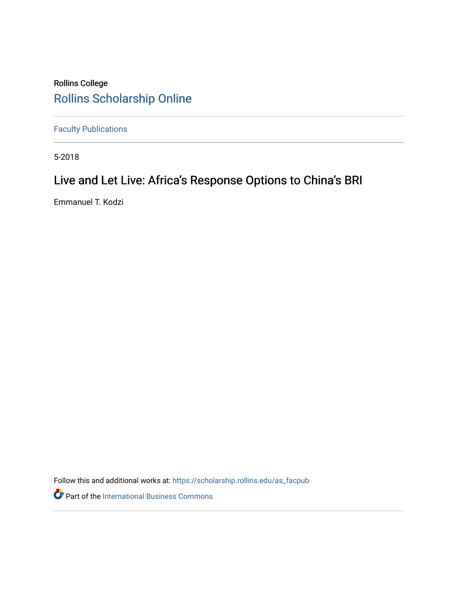# Rollins College [Rollins Scholarship Online](https://scholarship.rollins.edu/)

[Faculty Publications](https://scholarship.rollins.edu/as_facpub)

5-2018

# Live and Let Live: Africa's Response Options to China's BRI

Emmanuel T. Kodzi

Follow this and additional works at: [https://scholarship.rollins.edu/as\\_facpub](https://scholarship.rollins.edu/as_facpub?utm_source=scholarship.rollins.edu%2Fas_facpub%2F253&utm_medium=PDF&utm_campaign=PDFCoverPages) 

**Part of the International Business Commons**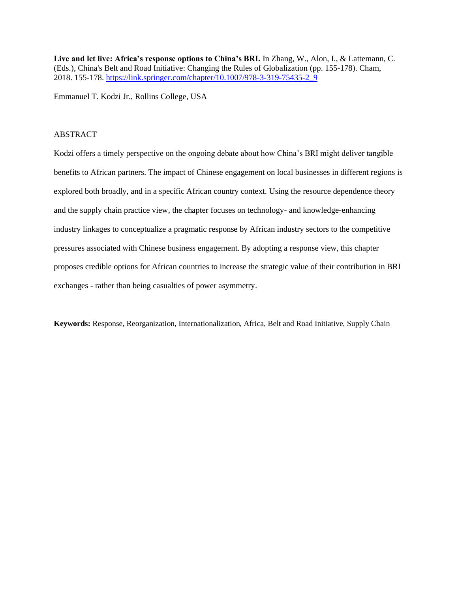**Live and let live: Africa's response options to China's BRI.** In Zhang, W., Alon, I., & Lattemann, C. (Eds.), China's Belt and Road Initiative: Changing the Rules of Globalization (pp. 155-178). Cham, 2018. 155-178. [https://link.springer.com/chapter/10.1007/978-3-319-75435-2\\_9](https://link.springer.com/chapter/10.1007/978-3-319-75435-2_9)

Emmanuel T. Kodzi Jr., Rollins College, USA

### ABSTRACT

Kodzi offers a timely perspective on the ongoing debate about how China's BRI might deliver tangible benefits to African partners. The impact of Chinese engagement on local businesses in different regions is explored both broadly, and in a specific African country context. Using the resource dependence theory and the supply chain practice view, the chapter focuses on technology- and knowledge-enhancing industry linkages to conceptualize a pragmatic response by African industry sectors to the competitive pressures associated with Chinese business engagement. By adopting a response view, this chapter proposes credible options for African countries to increase the strategic value of their contribution in BRI exchanges - rather than being casualties of power asymmetry.

**Keywords:** Response, Reorganization, Internationalization, Africa, Belt and Road Initiative, Supply Chain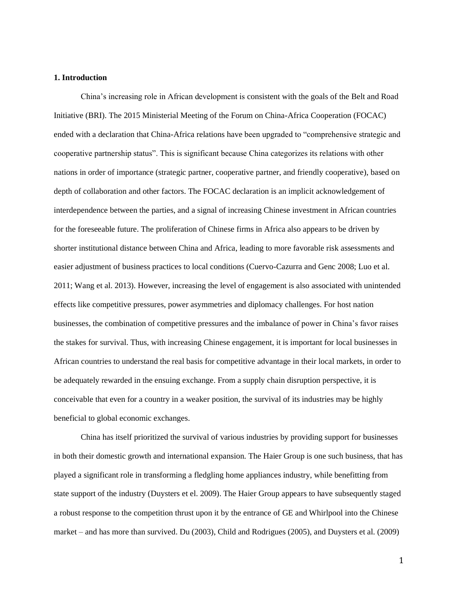## **1. Introduction**

China's increasing role in African development is consistent with the goals of the Belt and Road Initiative (BRI). The 2015 Ministerial Meeting of the Forum on China-Africa Cooperation (FOCAC) ended with a declaration that China-Africa relations have been upgraded to "comprehensive strategic and cooperative partnership status". This is significant because China categorizes its relations with other nations in order of importance (strategic partner, cooperative partner, and friendly cooperative), based on depth of collaboration and other factors. The FOCAC declaration is an implicit acknowledgement of interdependence between the parties, and a signal of increasing Chinese investment in African countries for the foreseeable future. The proliferation of Chinese firms in Africa also appears to be driven by shorter institutional distance between China and Africa, leading to more favorable risk assessments and easier adjustment of business practices to local conditions (Cuervo-Cazurra and Genc 2008; Luo et al. 2011; Wang et al. 2013). However, increasing the level of engagement is also associated with unintended effects like competitive pressures, power asymmetries and diplomacy challenges. For host nation businesses, the combination of competitive pressures and the imbalance of power in China's favor raises the stakes for survival. Thus, with increasing Chinese engagement, it is important for local businesses in African countries to understand the real basis for competitive advantage in their local markets, in order to be adequately rewarded in the ensuing exchange. From a supply chain disruption perspective, it is conceivable that even for a country in a weaker position, the survival of its industries may be highly beneficial to global economic exchanges.

China has itself prioritized the survival of various industries by providing support for businesses in both their domestic growth and international expansion. The Haier Group is one such business, that has played a significant role in transforming a fledgling home appliances industry, while benefitting from state support of the industry (Duysters et el. 2009). The Haier Group appears to have subsequently staged a robust response to the competition thrust upon it by the entrance of GE and Whirlpool into the Chinese market – and has more than survived. Du (2003), Child and Rodrigues (2005), and Duysters et al. (2009)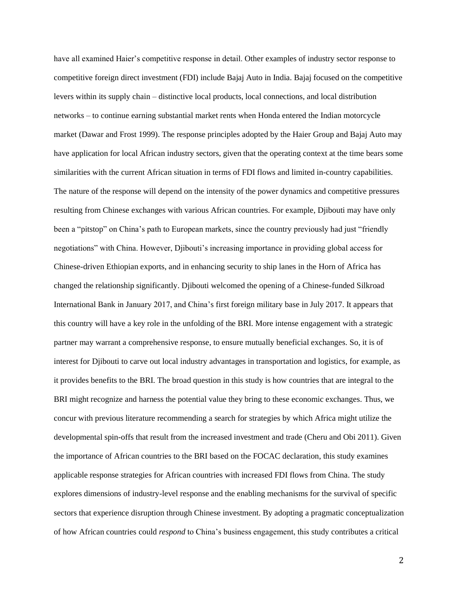have all examined Haier's competitive response in detail. Other examples of industry sector response to competitive foreign direct investment (FDI) include Bajaj Auto in India. Bajaj focused on the competitive levers within its supply chain – distinctive local products, local connections, and local distribution networks – to continue earning substantial market rents when Honda entered the Indian motorcycle market (Dawar and Frost 1999). The response principles adopted by the Haier Group and Bajaj Auto may have application for local African industry sectors, given that the operating context at the time bears some similarities with the current African situation in terms of FDI flows and limited in-country capabilities. The nature of the response will depend on the intensity of the power dynamics and competitive pressures resulting from Chinese exchanges with various African countries. For example, Djibouti may have only been a "pitstop" on China's path to European markets, since the country previously had just "friendly negotiations" with China. However, Djibouti's increasing importance in providing global access for Chinese-driven Ethiopian exports, and in enhancing security to ship lanes in the Horn of Africa has changed the relationship significantly. Djibouti welcomed the opening of a Chinese-funded Silkroad International Bank in January 2017, and China's first foreign military base in July 2017. It appears that this country will have a key role in the unfolding of the BRI. More intense engagement with a strategic partner may warrant a comprehensive response, to ensure mutually beneficial exchanges. So, it is of interest for Djibouti to carve out local industry advantages in transportation and logistics, for example, as it provides benefits to the BRI. The broad question in this study is how countries that are integral to the BRI might recognize and harness the potential value they bring to these economic exchanges. Thus, we concur with previous literature recommending a search for strategies by which Africa might utilize the developmental spin-offs that result from the increased investment and trade (Cheru and Obi 2011). Given the importance of African countries to the BRI based on the FOCAC declaration, this study examines applicable response strategies for African countries with increased FDI flows from China. The study explores dimensions of industry-level response and the enabling mechanisms for the survival of specific sectors that experience disruption through Chinese investment. By adopting a pragmatic conceptualization of how African countries could *respond* to China's business engagement, this study contributes a critical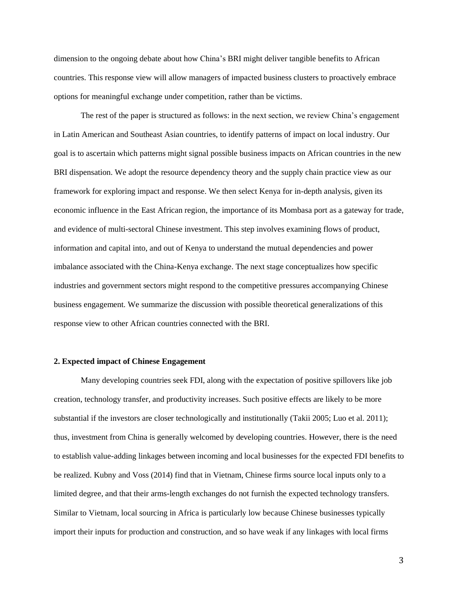dimension to the ongoing debate about how China's BRI might deliver tangible benefits to African countries. This response view will allow managers of impacted business clusters to proactively embrace options for meaningful exchange under competition, rather than be victims.

The rest of the paper is structured as follows: in the next section, we review China's engagement in Latin American and Southeast Asian countries, to identify patterns of impact on local industry. Our goal is to ascertain which patterns might signal possible business impacts on African countries in the new BRI dispensation. We adopt the resource dependency theory and the supply chain practice view as our framework for exploring impact and response. We then select Kenya for in-depth analysis, given its economic influence in the East African region, the importance of its Mombasa port as a gateway for trade, and evidence of multi-sectoral Chinese investment. This step involves examining flows of product, information and capital into, and out of Kenya to understand the mutual dependencies and power imbalance associated with the China-Kenya exchange. The next stage conceptualizes how specific industries and government sectors might respond to the competitive pressures accompanying Chinese business engagement. We summarize the discussion with possible theoretical generalizations of this response view to other African countries connected with the BRI.

# **2. Expected impact of Chinese Engagement**

Many developing countries seek FDI, along with the expectation of positive spillovers like job creation, technology transfer, and productivity increases. Such positive effects are likely to be more substantial if the investors are closer technologically and institutionally (Takii 2005; Luo et al. 2011); thus, investment from China is generally welcomed by developing countries. However, there is the need to establish value-adding linkages between incoming and local businesses for the expected FDI benefits to be realized. Kubny and Voss (2014) find that in Vietnam, Chinese firms source local inputs only to a limited degree, and that their arms-length exchanges do not furnish the expected technology transfers. Similar to Vietnam, local sourcing in Africa is particularly low because Chinese businesses typically import their inputs for production and construction, and so have weak if any linkages with local firms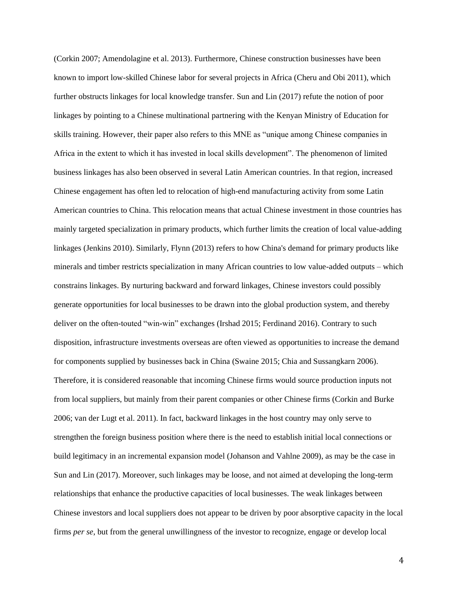(Corkin 2007; Amendolagine et al. 2013). Furthermore, Chinese construction businesses have been known to import low-skilled Chinese labor for several projects in Africa (Cheru and Obi 2011), which further obstructs linkages for local knowledge transfer. Sun and Lin (2017) refute the notion of poor linkages by pointing to a Chinese multinational partnering with the Kenyan Ministry of Education for skills training. However, their paper also refers to this MNE as "unique among Chinese companies in Africa in the extent to which it has invested in local skills development". The phenomenon of limited business linkages has also been observed in several Latin American countries. In that region, increased Chinese engagement has often led to relocation of high-end manufacturing activity from some Latin American countries to China. This relocation means that actual Chinese investment in those countries has mainly targeted specialization in primary products, which further limits the creation of local value-adding linkages (Jenkins 2010). Similarly, Flynn (2013) refers to how China's demand for primary products like minerals and timber restricts specialization in many African countries to low value-added outputs – which constrains linkages. By nurturing backward and forward linkages, Chinese investors could possibly generate opportunities for local businesses to be drawn into the global production system, and thereby deliver on the often-touted "win-win" exchanges (Irshad 2015; Ferdinand 2016). Contrary to such disposition, infrastructure investments overseas are often viewed as opportunities to increase the demand for components supplied by businesses back in China (Swaine 2015; Chia and Sussangkarn 2006). Therefore, it is considered reasonable that incoming Chinese firms would source production inputs not from local suppliers, but mainly from their parent companies or other Chinese firms (Corkin and Burke 2006; van der Lugt et al. 2011). In fact, backward linkages in the host country may only serve to strengthen the foreign business position where there is the need to establish initial local connections or build legitimacy in an incremental expansion model (Johanson and Vahlne 2009), as may be the case in Sun and Lin (2017). Moreover, such linkages may be loose, and not aimed at developing the long-term relationships that enhance the productive capacities of local businesses. The weak linkages between Chinese investors and local suppliers does not appear to be driven by poor absorptive capacity in the local firms *per se*, but from the general unwillingness of the investor to recognize, engage or develop local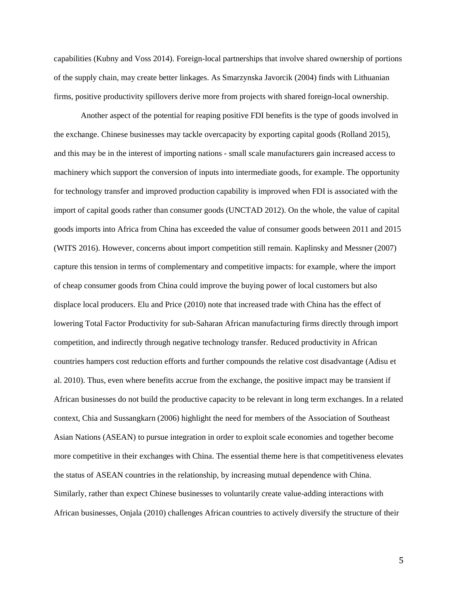capabilities (Kubny and Voss 2014). Foreign-local partnerships that involve shared ownership of portions of the supply chain, may create better linkages. As Smarzynska Javorcik (2004) finds with Lithuanian firms, positive productivity spillovers derive more from projects with shared foreign-local ownership.

Another aspect of the potential for reaping positive FDI benefits is the type of goods involved in the exchange. Chinese businesses may tackle overcapacity by exporting capital goods (Rolland 2015), and this may be in the interest of importing nations - small scale manufacturers gain increased access to machinery which support the conversion of inputs into intermediate goods, for example. The opportunity for technology transfer and improved production capability is improved when FDI is associated with the import of capital goods rather than consumer goods (UNCTAD 2012). On the whole, the value of capital goods imports into Africa from China has exceeded the value of consumer goods between 2011 and 2015 (WITS 2016). However, concerns about import competition still remain. Kaplinsky and Messner (2007) capture this tension in terms of complementary and competitive impacts: for example, where the import of cheap consumer goods from China could improve the buying power of local customers but also displace local producers. Elu and Price (2010) note that increased trade with China has the effect of lowering Total Factor Productivity for sub-Saharan African manufacturing firms directly through import competition, and indirectly through negative technology transfer. Reduced productivity in African countries hampers cost reduction efforts and further compounds the relative cost disadvantage (Adisu et al. 2010). Thus, even where benefits accrue from the exchange, the positive impact may be transient if African businesses do not build the productive capacity to be relevant in long term exchanges. In a related context, Chia and Sussangkarn (2006) highlight the need for members of the Association of Southeast Asian Nations (ASEAN) to pursue integration in order to exploit scale economies and together become more competitive in their exchanges with China. The essential theme here is that competitiveness elevates the status of ASEAN countries in the relationship, by increasing mutual dependence with China. Similarly, rather than expect Chinese businesses to voluntarily create value-adding interactions with African businesses, Onjala (2010) challenges African countries to actively diversify the structure of their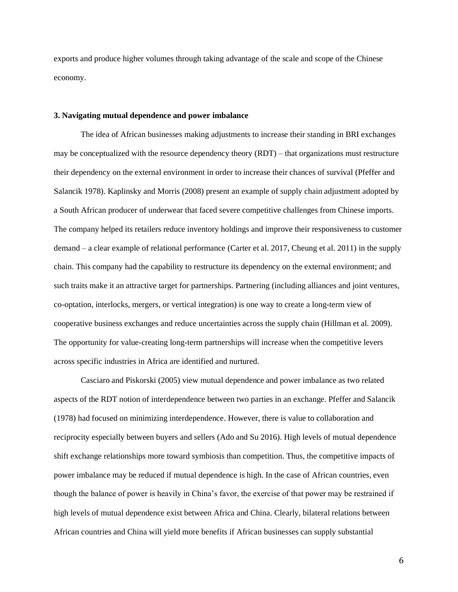exports and produce higher volumes through taking advantage of the scale and scope of the Chinese economy.

#### **3. Navigating mutual dependence and power imbalance**

The idea of African businesses making adjustments to increase their standing in BRI exchanges may be conceptualized with the resource dependency theory (RDT) – that organizations must restructure their dependency on the external environment in order to increase their chances of survival (Pfeffer and Salancik 1978). Kaplinsky and Morris (2008) present an example of supply chain adjustment adopted by a South African producer of underwear that faced severe competitive challenges from Chinese imports. The company helped its retailers reduce inventory holdings and improve their responsiveness to customer demand – a clear example of relational performance (Carter et al. 2017, Cheung et al. 2011) in the supply chain. This company had the capability to restructure its dependency on the external environment; and such traits make it an attractive target for partnerships. Partnering (including alliances and joint ventures, co-optation, interlocks, mergers, or vertical integration) is one way to create a long-term view of cooperative business exchanges and reduce uncertainties across the supply chain (Hillman et al. 2009). The opportunity for value-creating long-term partnerships will increase when the competitive levers across specific industries in Africa are identified and nurtured.

Casciaro and Piskorski (2005) view mutual dependence and power imbalance as two related aspects of the RDT notion of interdependence between two parties in an exchange. Pfeffer and Salancik (1978) had focused on minimizing interdependence. However, there is value to collaboration and reciprocity especially between buyers and sellers (Ado and Su 2016). High levels of mutual dependence shift exchange relationships more toward symbiosis than competition. Thus, the competitive impacts of power imbalance may be reduced if mutual dependence is high. In the case of African countries, even though the balance of power is heavily in China's favor, the exercise of that power may be restrained if high levels of mutual dependence exist between Africa and China. Clearly, bilateral relations between African countries and China will yield more benefits if African businesses can supply substantial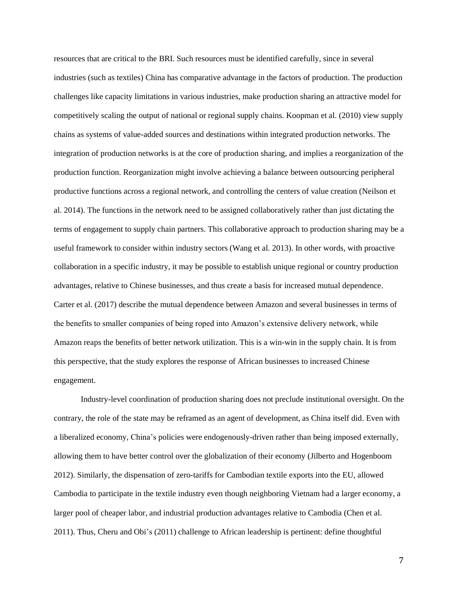resources that are critical to the BRI. Such resources must be identified carefully, since in several industries (such as textiles) China has comparative advantage in the factors of production. The production challenges like capacity limitations in various industries, make production sharing an attractive model for competitively scaling the output of national or regional supply chains. Koopman et al. (2010) view supply chains as systems of value-added sources and destinations within integrated production networks. The integration of production networks is at the core of production sharing, and implies a reorganization of the production function. Reorganization might involve achieving a balance between outsourcing peripheral productive functions across a regional network, and controlling the centers of value creation (Neilson et al. 2014). The functions in the network need to be assigned collaboratively rather than just dictating the terms of engagement to supply chain partners. This collaborative approach to production sharing may be a useful framework to consider within industry sectors (Wang et al. 2013). In other words, with proactive collaboration in a specific industry, it may be possible to establish unique regional or country production advantages, relative to Chinese businesses, and thus create a basis for increased mutual dependence. Carter et al. (2017) describe the mutual dependence between Amazon and several businesses in terms of the benefits to smaller companies of being roped into Amazon's extensive delivery network, while Amazon reaps the benefits of better network utilization. This is a win-win in the supply chain. It is from this perspective, that the study explores the response of African businesses to increased Chinese engagement.

Industry-level coordination of production sharing does not preclude institutional oversight. On the contrary, the role of the state may be reframed as an agent of development, as China itself did. Even with a liberalized economy, China's policies were endogenously-driven rather than being imposed externally, allowing them to have better control over the globalization of their economy (Jilberto and Hogenboom 2012). Similarly, the dispensation of zero-tariffs for Cambodian textile exports into the EU, allowed Cambodia to participate in the textile industry even though neighboring Vietnam had a larger economy, a larger pool of cheaper labor, and industrial production advantages relative to Cambodia (Chen et al. 2011). Thus, Cheru and Obi's (2011) challenge to African leadership is pertinent: define thoughtful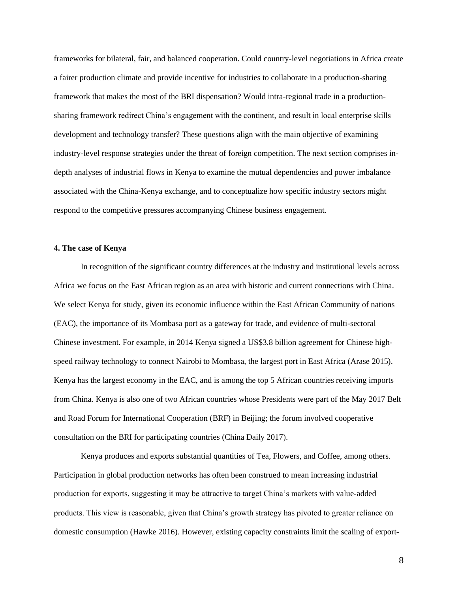frameworks for bilateral, fair, and balanced cooperation. Could country-level negotiations in Africa create a fairer production climate and provide incentive for industries to collaborate in a production-sharing framework that makes the most of the BRI dispensation? Would intra-regional trade in a productionsharing framework redirect China's engagement with the continent, and result in local enterprise skills development and technology transfer? These questions align with the main objective of examining industry-level response strategies under the threat of foreign competition. The next section comprises indepth analyses of industrial flows in Kenya to examine the mutual dependencies and power imbalance associated with the China-Kenya exchange, and to conceptualize how specific industry sectors might respond to the competitive pressures accompanying Chinese business engagement.

#### **4. The case of Kenya**

In recognition of the significant country differences at the industry and institutional levels across Africa we focus on the East African region as an area with historic and current connections with China. We select Kenya for study, given its economic influence within the East African Community of nations (EAC), the importance of its Mombasa port as a gateway for trade, and evidence of multi-sectoral Chinese investment. For example, in 2014 Kenya signed a US\$3.8 billion agreement for Chinese highspeed railway technology to connect Nairobi to Mombasa, the largest port in East Africa (Arase 2015). Kenya has the largest economy in the EAC, and is among the top 5 African countries receiving imports from China. Kenya is also one of two African countries whose Presidents were part of the May 2017 Belt and Road Forum for International Cooperation (BRF) in Beijing; the forum involved cooperative consultation on the BRI for participating countries (China Daily 2017).

Kenya produces and exports substantial quantities of Tea, Flowers, and Coffee, among others. Participation in global production networks has often been construed to mean increasing industrial production for exports, suggesting it may be attractive to target China's markets with value-added products. This view is reasonable, given that China's growth strategy has pivoted to greater reliance on domestic consumption (Hawke 2016). However, existing capacity constraints limit the scaling of export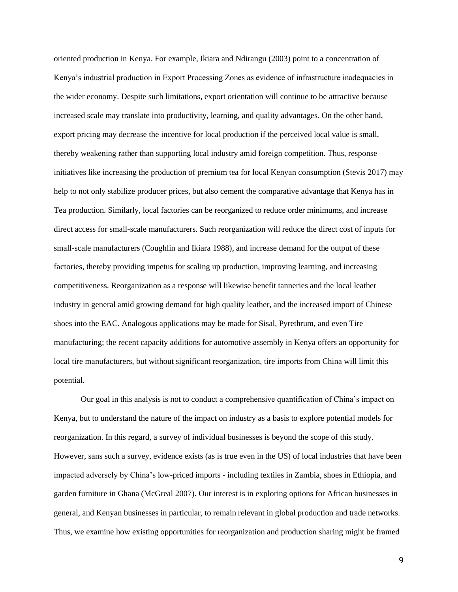oriented production in Kenya. For example, Ikiara and Ndirangu (2003) point to a concentration of Kenya's industrial production in Export Processing Zones as evidence of infrastructure inadequacies in the wider economy. Despite such limitations, export orientation will continue to be attractive because increased scale may translate into productivity, learning, and quality advantages. On the other hand, export pricing may decrease the incentive for local production if the perceived local value is small, thereby weakening rather than supporting local industry amid foreign competition. Thus, response initiatives like increasing the production of premium tea for local Kenyan consumption (Stevis 2017) may help to not only stabilize producer prices, but also cement the comparative advantage that Kenya has in Tea production. Similarly, local factories can be reorganized to reduce order minimums, and increase direct access for small-scale manufacturers. Such reorganization will reduce the direct cost of inputs for small-scale manufacturers (Coughlin and Ikiara 1988), and increase demand for the output of these factories, thereby providing impetus for scaling up production, improving learning, and increasing competitiveness. Reorganization as a response will likewise benefit tanneries and the local leather industry in general amid growing demand for high quality leather, and the increased import of Chinese shoes into the EAC. Analogous applications may be made for Sisal, Pyrethrum, and even Tire manufacturing; the recent capacity additions for automotive assembly in Kenya offers an opportunity for local tire manufacturers, but without significant reorganization, tire imports from China will limit this potential.

Our goal in this analysis is not to conduct a comprehensive quantification of China's impact on Kenya, but to understand the nature of the impact on industry as a basis to explore potential models for reorganization. In this regard, a survey of individual businesses is beyond the scope of this study. However, sans such a survey, evidence exists (as is true even in the US) of local industries that have been impacted adversely by China's low-priced imports - including textiles in Zambia, shoes in Ethiopia, and garden furniture in Ghana (McGreal 2007). Our interest is in exploring options for African businesses in general, and Kenyan businesses in particular, to remain relevant in global production and trade networks. Thus, we examine how existing opportunities for reorganization and production sharing might be framed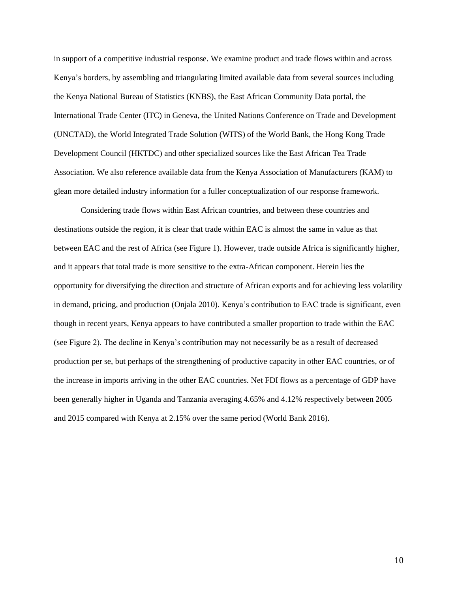in support of a competitive industrial response. We examine product and trade flows within and across Kenya's borders, by assembling and triangulating limited available data from several sources including the Kenya National Bureau of Statistics (KNBS), the East African Community Data portal, the International Trade Center (ITC) in Geneva, the United Nations Conference on Trade and Development (UNCTAD), the World Integrated Trade Solution (WITS) of the World Bank, the Hong Kong Trade Development Council (HKTDC) and other specialized sources like the East African Tea Trade Association. We also reference available data from the Kenya Association of Manufacturers (KAM) to glean more detailed industry information for a fuller conceptualization of our response framework.

Considering trade flows within East African countries, and between these countries and destinations outside the region, it is clear that trade within EAC is almost the same in value as that between EAC and the rest of Africa (see Figure 1). However, trade outside Africa is significantly higher, and it appears that total trade is more sensitive to the extra-African component. Herein lies the opportunity for diversifying the direction and structure of African exports and for achieving less volatility in demand, pricing, and production (Onjala 2010). Kenya's contribution to EAC trade is significant, even though in recent years, Kenya appears to have contributed a smaller proportion to trade within the EAC (see Figure 2). The decline in Kenya's contribution may not necessarily be as a result of decreased production per se, but perhaps of the strengthening of productive capacity in other EAC countries, or of the increase in imports arriving in the other EAC countries. Net FDI flows as a percentage of GDP have been generally higher in Uganda and Tanzania averaging 4.65% and 4.12% respectively between 2005 and 2015 compared with Kenya at 2.15% over the same period (World Bank 2016).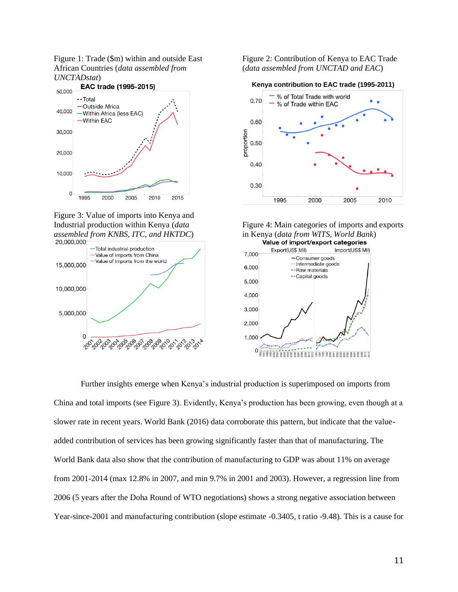Figure 1: Trade (\$m) within and outside East African Countries (*data assembled from*  Figure 1: Trade (\$m)within and outside East African Countries (*data assembled from UNCTADstat*)



Figure 3: Value of imports into Kenya and Industrial production within Kenya (*data*  Industrial production within Kenya (*data* ass*embled from KNBS, ITC, and HKTDC*)



Figure 2: Contribution of Kenya to EAC Trade (*data assembled from UNCTAD and EAC*)







Further insights emerge when Kenya's industrial production is superimposed on imports from China and total imports (see Figure 3). Evidently, Kenya's production has been growing, even though at a slower rate in recent years. World Bank (2016) data corroborate this pattern, but indicate that the valueadded contribution of services has been growing significantly faster than that of manufacturing. The World Bank data also show that the contribution of manufacturing to GDP was about 11% on average from 2001-2014 (max 12.8% in 2007, and min 9.7% in 2001 and 2003). However, a regression line from 2006 (5 years after the Doha Round of WTO negotiations) shows a strong negative association between Year-since-2001 and manufacturing contribution (slope estimate -0.3405, t ratio -9.48). This is a cause for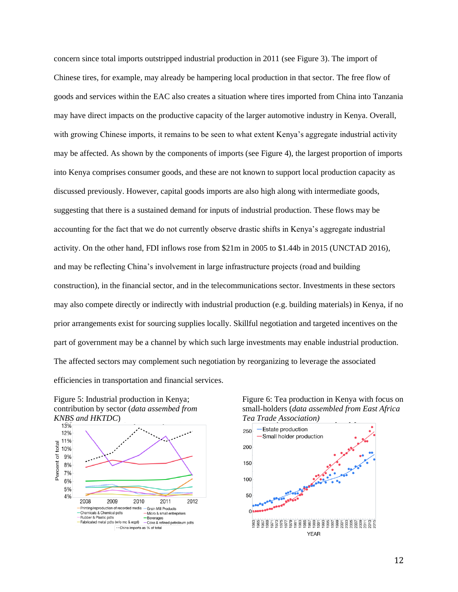concern since total imports outstripped industrial production in 2011 (see Figure 3). The import of Chinese tires, for example, may already be hampering local production in that sector. The free flow of goods and services within the EAC also creates a situation where tires imported from China into Tanzania may have direct impacts on the productive capacity of the larger automotive industry in Kenya. Overall, with growing Chinese imports, it remains to be seen to what extent Kenya's aggregate industrial activity may be affected. As shown by the components of imports (see Figure 4), the largest proportion of imports into Kenya comprises consumer goods, and these are not known to support local production capacity as discussed previously. However, capital goods imports are also high along with intermediate goods, suggesting that there is a sustained demand for inputs of industrial production. These flows may be accounting for the fact that we do not currently observe drastic shifts in Kenya's aggregate industrial activity. On the other hand, FDI inflows rose from \$21m in 2005 to \$1.44b in 2015 (UNCTAD 2016), and may be reflecting China's involvement in large infrastructure projects (road and building construction), in the financial sector, and in the telecommunications sector. Investments in these sectors may also compete directly or indirectly with industrial production (e.g. building materials) in Kenya, if no prior arrangements exist for sourcing supplies locally. Skillful negotiation and targeted incentives on the part of government may be a channel by which such large investments may enable industrial production. The affected sectors may complement such negotiation by reorganizing to leverage the associated efficiencies in transportation and financial services.







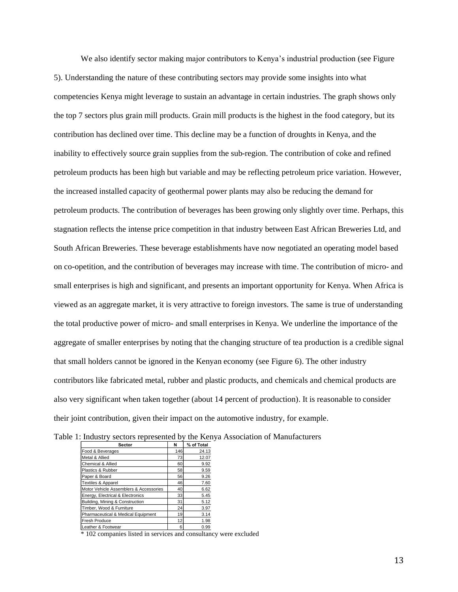We also identify sector making major contributors to Kenya's industrial production (see Figure 5). Understanding the nature of these contributing sectors may provide some insights into what competencies Kenya might leverage to sustain an advantage in certain industries. The graph shows only the top 7 sectors plus grain mill products. Grain mill products is the highest in the food category, but its contribution has declined over time. This decline may be a function of droughts in Kenya, and the inability to effectively source grain supplies from the sub-region. The contribution of coke and refined petroleum products has been high but variable and may be reflecting petroleum price variation. However, the increased installed capacity of geothermal power plants may also be reducing the demand for petroleum products. The contribution of beverages has been growing only slightly over time. Perhaps, this stagnation reflects the intense price competition in that industry between East African Breweries Ltd, and South African Breweries. These beverage establishments have now negotiated an operating model based on co-opetition, and the contribution of beverages may increase with time. The contribution of micro- and small enterprises is high and significant, and presents an important opportunity for Kenya. When Africa is viewed as an aggregate market, it is very attractive to foreign investors. The same is true of understanding the total productive power of micro- and small enterprises in Kenya. We underline the importance of the aggregate of smaller enterprises by noting that the changing structure of tea production is a credible signal that small holders cannot be ignored in the Kenyan economy (see Figure 6). The other industry contributors like fabricated metal, rubber and plastic products, and chemicals and chemical products are also very significant when taken together (about 14 percent of production). It is reasonable to consider their joint contribution, given their impact on the automotive industry, for example.

| <b>Sector</b>                          | N   | % of Total |
|----------------------------------------|-----|------------|
| Food & Beverages                       | 146 | 24.13      |
| Metal & Allied                         | 73  | 12.07      |
| Chemical & Allied                      | 60  | 9.92       |
| Plastics & Rubber                      | 58  | 9.59       |
| Paper & Board                          | 56  | 9.26       |
| <b>Textiles &amp; Apparel</b>          | 46  | 7.60       |
| Motor Vehicle Assemblers & Accessories | 40  | 6.62       |
| Energy, Electrical & Electronics       | 33  | 5.45       |
| Building, Mining & Construction        | 31  | 5.12       |
| Timber, Wood & Furniture               | 24  | 3.97       |
| Pharmaceutical & Medical Equipment     | 19  | 3.14       |
| Fresh Produce                          | 12  | 1.98       |
| Leather & Footwear                     | 6   | 0.99       |

Table 1: Industry sectors represented by the Kenya Association of Manufacturers

\* 102 companies listed in services and consultancy were excluded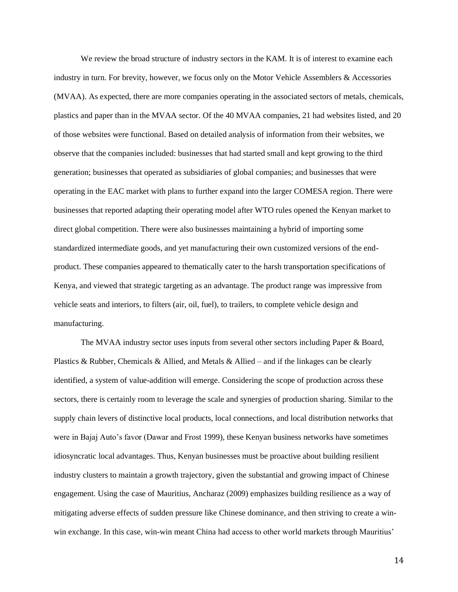We review the broad structure of industry sectors in the KAM. It is of interest to examine each industry in turn. For brevity, however, we focus only on the Motor Vehicle Assemblers & Accessories (MVAA). As expected, there are more companies operating in the associated sectors of metals, chemicals, plastics and paper than in the MVAA sector. Of the 40 MVAA companies, 21 had websites listed, and 20 of those websites were functional. Based on detailed analysis of information from their websites, we observe that the companies included: businesses that had started small and kept growing to the third generation; businesses that operated as subsidiaries of global companies; and businesses that were operating in the EAC market with plans to further expand into the larger COMESA region. There were businesses that reported adapting their operating model after WTO rules opened the Kenyan market to direct global competition. There were also businesses maintaining a hybrid of importing some standardized intermediate goods, and yet manufacturing their own customized versions of the endproduct. These companies appeared to thematically cater to the harsh transportation specifications of Kenya, and viewed that strategic targeting as an advantage. The product range was impressive from vehicle seats and interiors, to filters (air, oil, fuel), to trailers, to complete vehicle design and manufacturing.

The MVAA industry sector uses inputs from several other sectors including Paper & Board, Plastics & Rubber, Chemicals & Allied, and Metals & Allied – and if the linkages can be clearly identified, a system of value-addition will emerge. Considering the scope of production across these sectors, there is certainly room to leverage the scale and synergies of production sharing. Similar to the supply chain levers of distinctive local products, local connections, and local distribution networks that were in Bajaj Auto's favor (Dawar and Frost 1999), these Kenyan business networks have sometimes idiosyncratic local advantages. Thus, Kenyan businesses must be proactive about building resilient industry clusters to maintain a growth trajectory, given the substantial and growing impact of Chinese engagement. Using the case of Mauritius, Ancharaz (2009) emphasizes building resilience as a way of mitigating adverse effects of sudden pressure like Chinese dominance, and then striving to create a winwin exchange. In this case, win-win meant China had access to other world markets through Mauritius'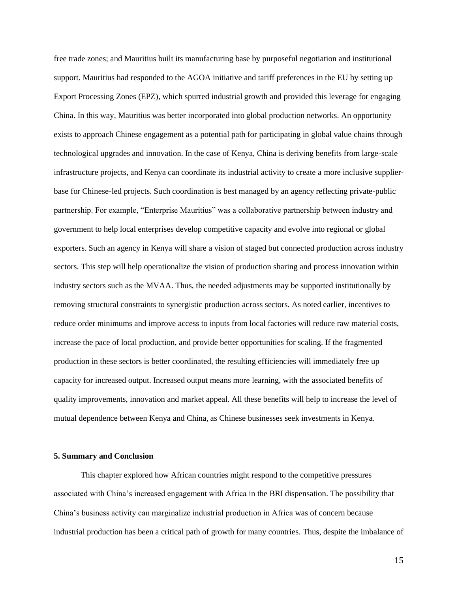free trade zones; and Mauritius built its manufacturing base by purposeful negotiation and institutional support. Mauritius had responded to the AGOA initiative and tariff preferences in the EU by setting up Export Processing Zones (EPZ), which spurred industrial growth and provided this leverage for engaging China. In this way, Mauritius was better incorporated into global production networks. An opportunity exists to approach Chinese engagement as a potential path for participating in global value chains through technological upgrades and innovation. In the case of Kenya, China is deriving benefits from large-scale infrastructure projects, and Kenya can coordinate its industrial activity to create a more inclusive supplierbase for Chinese-led projects. Such coordination is best managed by an agency reflecting private-public partnership. For example, "Enterprise Mauritius" was a collaborative partnership between industry and government to help local enterprises develop competitive capacity and evolve into regional or global exporters. Such an agency in Kenya will share a vision of staged but connected production across industry sectors. This step will help operationalize the vision of production sharing and process innovation within industry sectors such as the MVAA. Thus, the needed adjustments may be supported institutionally by removing structural constraints to synergistic production across sectors. As noted earlier, incentives to reduce order minimums and improve access to inputs from local factories will reduce raw material costs, increase the pace of local production, and provide better opportunities for scaling. If the fragmented production in these sectors is better coordinated, the resulting efficiencies will immediately free up capacity for increased output. Increased output means more learning, with the associated benefits of quality improvements, innovation and market appeal. All these benefits will help to increase the level of mutual dependence between Kenya and China, as Chinese businesses seek investments in Kenya.

#### **5. Summary and Conclusion**

This chapter explored how African countries might respond to the competitive pressures associated with China's increased engagement with Africa in the BRI dispensation. The possibility that China's business activity can marginalize industrial production in Africa was of concern because industrial production has been a critical path of growth for many countries. Thus, despite the imbalance of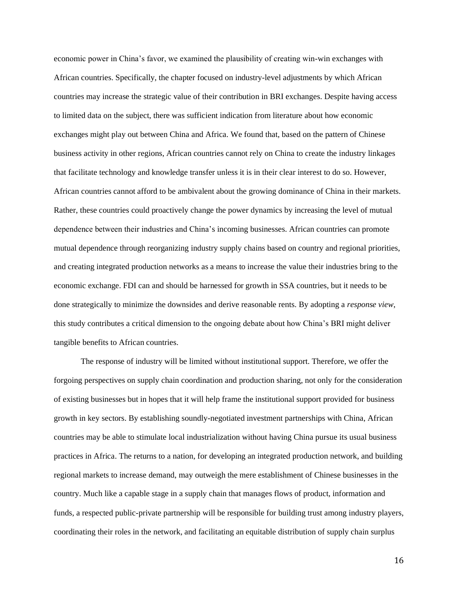economic power in China's favor, we examined the plausibility of creating win-win exchanges with African countries. Specifically, the chapter focused on industry-level adjustments by which African countries may increase the strategic value of their contribution in BRI exchanges. Despite having access to limited data on the subject, there was sufficient indication from literature about how economic exchanges might play out between China and Africa. We found that, based on the pattern of Chinese business activity in other regions, African countries cannot rely on China to create the industry linkages that facilitate technology and knowledge transfer unless it is in their clear interest to do so. However, African countries cannot afford to be ambivalent about the growing dominance of China in their markets. Rather, these countries could proactively change the power dynamics by increasing the level of mutual dependence between their industries and China's incoming businesses. African countries can promote mutual dependence through reorganizing industry supply chains based on country and regional priorities, and creating integrated production networks as a means to increase the value their industries bring to the economic exchange. FDI can and should be harnessed for growth in SSA countries, but it needs to be done strategically to minimize the downsides and derive reasonable rents. By adopting a *response view*, this study contributes a critical dimension to the ongoing debate about how China's BRI might deliver tangible benefits to African countries.

The response of industry will be limited without institutional support. Therefore, we offer the forgoing perspectives on supply chain coordination and production sharing, not only for the consideration of existing businesses but in hopes that it will help frame the institutional support provided for business growth in key sectors. By establishing soundly-negotiated investment partnerships with China, African countries may be able to stimulate local industrialization without having China pursue its usual business practices in Africa. The returns to a nation, for developing an integrated production network, and building regional markets to increase demand, may outweigh the mere establishment of Chinese businesses in the country. Much like a capable stage in a supply chain that manages flows of product, information and funds, a respected public-private partnership will be responsible for building trust among industry players, coordinating their roles in the network, and facilitating an equitable distribution of supply chain surplus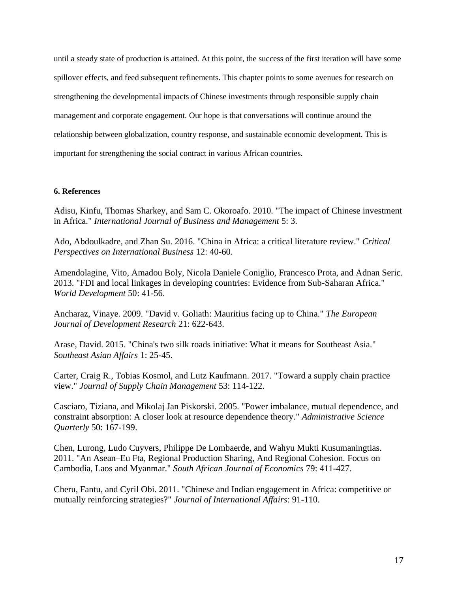until a steady state of production is attained. At this point, the success of the first iteration will have some spillover effects, and feed subsequent refinements. This chapter points to some avenues for research on strengthening the developmental impacts of Chinese investments through responsible supply chain management and corporate engagement. Our hope is that conversations will continue around the relationship between globalization, country response, and sustainable economic development. This is important for strengthening the social contract in various African countries.

# **6. References**

Adisu, Kinfu, Thomas Sharkey, and Sam C. Okoroafo. 2010. "The impact of Chinese investment in Africa." *International Journal of Business and Management* 5: 3.

Ado, Abdoulkadre, and Zhan Su. 2016. "China in Africa: a critical literature review." *Critical Perspectives on International Business* 12: 40-60.

Amendolagine, Vito, Amadou Boly, Nicola Daniele Coniglio, Francesco Prota, and Adnan Seric. 2013. "FDI and local linkages in developing countries: Evidence from Sub-Saharan Africa." *World Development* 50: 41-56.

Ancharaz, Vinaye. 2009. "David v. Goliath: Mauritius facing up to China." *The European Journal of Development Research* 21: 622-643.

Arase, David. 2015. "China's two silk roads initiative: What it means for Southeast Asia." *Southeast Asian Affairs* 1: 25-45.

Carter, Craig R., Tobias Kosmol, and Lutz Kaufmann. 2017. "Toward a supply chain practice view." *Journal of Supply Chain Management* 53: 114-122.

Casciaro, Tiziana, and Mikolaj Jan Piskorski. 2005. "Power imbalance, mutual dependence, and constraint absorption: A closer look at resource dependence theory." *Administrative Science Quarterly* 50: 167-199.

Chen, Lurong, Ludo Cuyvers, Philippe De Lombaerde, and Wahyu Mukti Kusumaningtias. 2011. "An Asean–Eu Fta, Regional Production Sharing, And Regional Cohesion. Focus on Cambodia, Laos and Myanmar." *South African Journal of Economics* 79: 411-427.

Cheru, Fantu, and Cyril Obi. 2011. "Chinese and Indian engagement in Africa: competitive or mutually reinforcing strategies?" *Journal of International Affairs*: 91-110.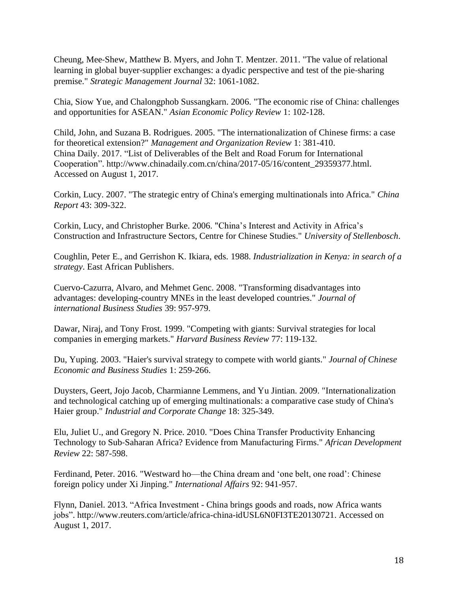Cheung, Mee‐Shew, Matthew B. Myers, and John T. Mentzer. 2011. "The value of relational learning in global buyer‐supplier exchanges: a dyadic perspective and test of the pie‐sharing premise." *Strategic Management Journal* 32: 1061-1082.

Chia, Siow Yue, and Chalongphob Sussangkarn. 2006. "The economic rise of China: challenges and opportunities for ASEAN." *Asian Economic Policy Review* 1: 102-128.

Child, John, and Suzana B. Rodrigues. 2005. "The internationalization of Chinese firms: a case for theoretical extension?" *Management and Organization Review* 1: 381-410. China Daily. 2017. "List of Deliverables of the Belt and Road Forum for International Cooperation". http://www.chinadaily.com.cn/china/2017-05/16/content\_29359377.html. Accessed on August 1, 2017.

Corkin, Lucy. 2007. "The strategic entry of China's emerging multinationals into Africa." *China Report* 43: 309-322.

Corkin, Lucy, and Christopher Burke. 2006. "China's Interest and Activity in Africa's Construction and Infrastructure Sectors, Centre for Chinese Studies." *University of Stellenbosch*.

Coughlin, Peter E., and Gerrishon K. Ikiara, eds. 1988. *Industrialization in Kenya: in search of a strategy*. East African Publishers.

Cuervo-Cazurra, Alvaro, and Mehmet Genc. 2008. "Transforming disadvantages into advantages: developing-country MNEs in the least developed countries." *Journal of international Business Studies* 39: 957-979.

Dawar, Niraj, and Tony Frost. 1999. "Competing with giants: Survival strategies for local companies in emerging markets." *Harvard Business Review* 77: 119-132.

Du, Yuping. 2003. "Haier's survival strategy to compete with world giants." *Journal of Chinese Economic and Business Studies* 1: 259-266.

Duysters, Geert, Jojo Jacob, Charmianne Lemmens, and Yu Jintian. 2009. "Internationalization and technological catching up of emerging multinationals: a comparative case study of China's Haier group." *Industrial and Corporate Change* 18: 325-349.

Elu, Juliet U., and Gregory N. Price. 2010. "Does China Transfer Productivity Enhancing Technology to Sub‐Saharan Africa? Evidence from Manufacturing Firms." *African Development Review* 22: 587-598.

Ferdinand, Peter. 2016. "Westward ho—the China dream and 'one belt, one road': Chinese foreign policy under Xi Jinping." *International Affairs* 92: 941-957.

Flynn, Daniel. 2013. "Africa Investment - China brings goods and roads, now Africa wants jobs". http://www.reuters.com/article/africa-china-idUSL6N0FI3TE20130721. Accessed on August 1, 2017.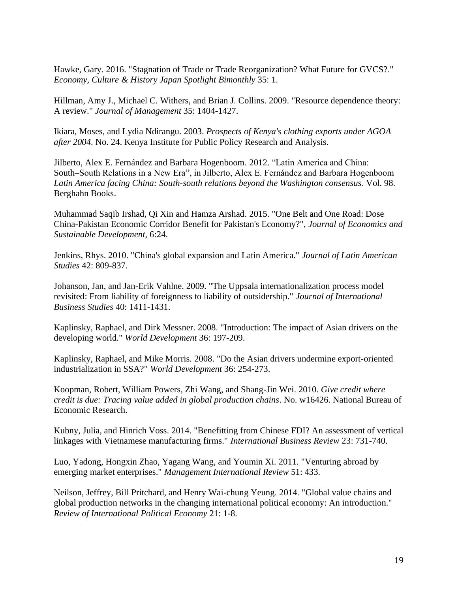Hawke, Gary. 2016. "Stagnation of Trade or Trade Reorganization? What Future for GVCS?." *Economy, Culture & History Japan Spotlight Bimonthly* 35: 1.

Hillman, Amy J., Michael C. Withers, and Brian J. Collins. 2009. "Resource dependence theory: A review." *Journal of Management* 35: 1404-1427.

Ikiara, Moses, and Lydia Ndirangu. 2003. *Prospects of Kenya's clothing exports under AGOA after 2004*. No. 24. Kenya Institute for Public Policy Research and Analysis.

Jilberto, Alex E. Fernández and Barbara Hogenboom. 2012. "Latin America and China: South–South Relations in a New Era", in Jilberto, Alex E. Fernández and Barbara Hogenboom *Latin America facing China: South-south relations beyond the Washington consensus*. Vol. 98. Berghahn Books.

Muhammad Saqib Irshad, Qi Xin and Hamza Arshad. 2015. "One Belt and One Road: Dose China-Pakistan Economic Corridor Benefit for Pakistan's Economy?", *Journal of Economics and Sustainable Development*, 6:24.

Jenkins, Rhys. 2010. "China's global expansion and Latin America." *Journal of Latin American Studies* 42: 809-837.

Johanson, Jan, and Jan-Erik Vahlne. 2009. "The Uppsala internationalization process model revisited: From liability of foreignness to liability of outsidership." *Journal of International Business Studies* 40: 1411-1431.

Kaplinsky, Raphael, and Dirk Messner. 2008. "Introduction: The impact of Asian drivers on the developing world." *World Development* 36: 197-209.

Kaplinsky, Raphael, and Mike Morris. 2008. "Do the Asian drivers undermine export-oriented industrialization in SSA?" *World Development* 36: 254-273.

Koopman, Robert, William Powers, Zhi Wang, and Shang-Jin Wei. 2010. *Give credit where credit is due: Tracing value added in global production chains*. No. w16426. National Bureau of Economic Research.

Kubny, Julia, and Hinrich Voss. 2014. "Benefitting from Chinese FDI? An assessment of vertical linkages with Vietnamese manufacturing firms." *International Business Review* 23: 731-740.

Luo, Yadong, Hongxin Zhao, Yagang Wang, and Youmin Xi. 2011. "Venturing abroad by emerging market enterprises." *Management International Review* 51: 433.

Neilson, Jeffrey, Bill Pritchard, and Henry Wai-chung Yeung. 2014. "Global value chains and global production networks in the changing international political economy: An introduction." *Review of International Political Economy* 21: 1-8.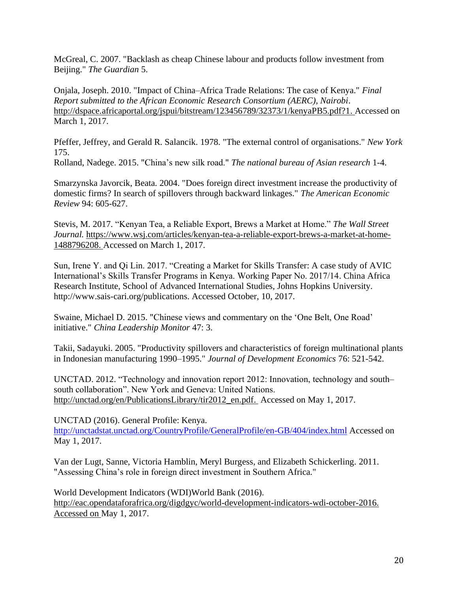McGreal, C. 2007. "Backlash as cheap Chinese labour and products follow investment from Beijing." *The Guardian* 5.

Onjala, Joseph. 2010. "Impact of China–Africa Trade Relations: The case of Kenya." *Final Report submitted to the African Economic Research Consortium (AERC), Nairobi*. [http://dspace.africaportal.org/jspui/bitstream/123456789/32373/1/kenyaPB5.pdf?1.](http://dspace.africaportal.org/jspui/bitstream/123456789/32373/1/kenyaPB5.pdf?1) Accessed on March 1, 2017.

Pfeffer, Jeffrey, and Gerald R. Salancik. 1978. "The external control of organisations." *New York* 175.

Rolland, Nadege. 2015. "China's new silk road." *The national bureau of Asian research* 1-4.

Smarzynska Javorcik, Beata. 2004. "Does foreign direct investment increase the productivity of domestic firms? In search of spillovers through backward linkages." *The American Economic Review* 94: 605-627.

Stevis, M. 2017. "Kenyan Tea, a Reliable Export, Brews a Market at Home." *The Wall Street Journal.* [https://www.wsj.com/articles/kenyan-tea-a-reliable-export-brews-a-market-at-home-](https://www.wsj.com/articles/kenyan-tea-a-reliable-export-brews-a-market-at-home-1488796208)[1488796208.](https://www.wsj.com/articles/kenyan-tea-a-reliable-export-brews-a-market-at-home-1488796208) Accessed on March 1, 2017.

Sun, Irene Y. and Qi Lin. 2017. "Creating a Market for Skills Transfer: A case study of AVIC International's Skills Transfer Programs in Kenya. Working Paper No. 2017/14. China Africa Research Institute, School of Advanced International Studies, Johns Hopkins University. http://www.sais-cari.org/publications. Accessed October, 10, 2017.

Swaine, Michael D. 2015. "Chinese views and commentary on the 'One Belt, One Road' initiative." *China Leadership Monitor* 47: 3.

Takii, Sadayuki. 2005. "Productivity spillovers and characteristics of foreign multinational plants in Indonesian manufacturing 1990–1995." *Journal of Development Economics* 76: 521-542.

UNCTAD. 2012. "Technology and innovation report 2012: Innovation, technology and south– south collaboration". New York and Geneva: United Nations. [http://unctad.org/en/PublicationsLibrary/tir2012\\_en.pdf.](http://unctad.org/en/PublicationsLibrary/tir2012_en.pdf) Accessed on May 1, 2017.

UNCTAD (2016). General Profile: Kenya.

http://unctadstat.unctad.org/CountryProfile/GeneralProfile/en-GB/404/index.html Accessed on May 1, 2017.

Van der Lugt, Sanne, Victoria Hamblin, Meryl Burgess, and Elizabeth Schickerling. 2011. "Assessing China's role in foreign direct investment in Southern Africa."

World Development Indicators (WDI)World Bank (2016). [http://eac.opendataforafrica.org/digdgyc/world-development-indicators-wdi-october-2016.](http://eac.opendataforafrica.org/digdgyc/world-development-indicators-wdi-october-2016) Accessed on May 1, 2017.